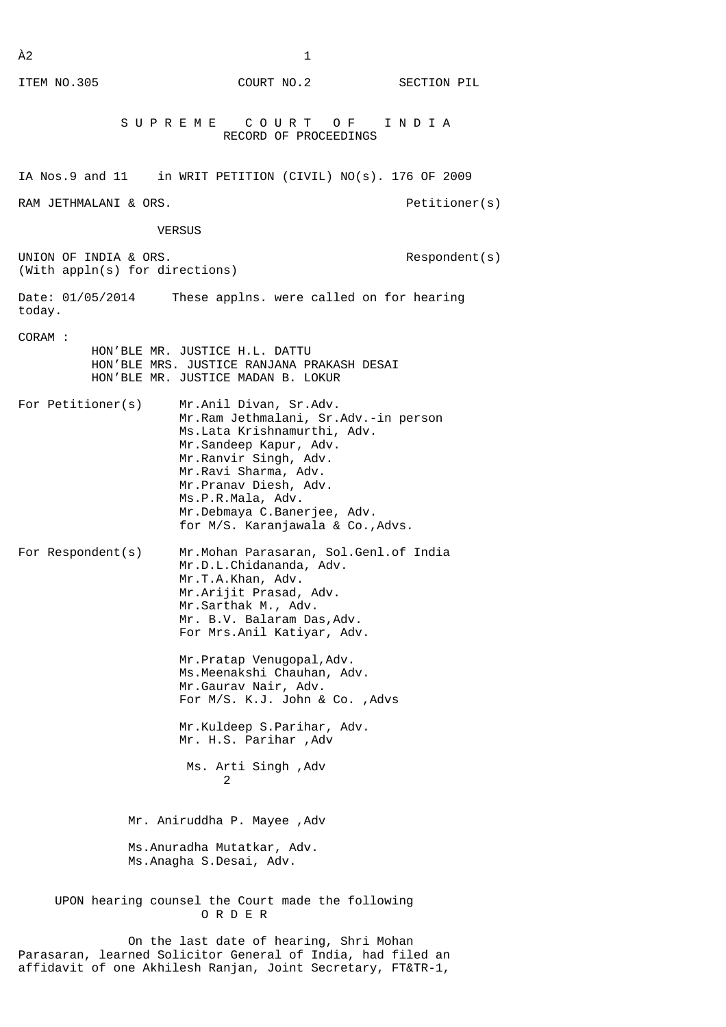$\tilde{A}2$  1 ITEM NO.305 COURT NO.2 SECTION PIL S U P R E M E C O U R T O F I N D I A RECORD OF PROCEEDINGS IA Nos.9 and 11 in WRIT PETITION (CIVIL) NO(s). 176 OF 2009 RAM JETHMALANI & ORS. The contract of the contract of the petitioner(s) VERSUS UNION OF INDIA & ORS. The second second is a second of the second second is a second second second second second second second second second second second second second second second second second second second second seco (With appln(s) for directions) Date: 01/05/2014 These applns. were called on for hearing today. CORAM : HON'BLE MR. JUSTICE H.L. DATTU HON'BLE MRS. JUSTICE RANJANA PRAKASH DESAI HON'BLE MR. JUSTICE MADAN B. LOKUR For Petitioner(s) Mr.Anil Divan, Sr.Adv. Mr.Ram Jethmalani, Sr.Adv.-in person Ms.Lata Krishnamurthi, Adv. Mr.Sandeep Kapur, Adv. Mr.Ranvir Singh, Adv. Mr.Ravi Sharma, Adv. Mr.Pranav Diesh, Adv. Ms.P.R.Mala, Adv. Mr.Debmaya C.Banerjee, Adv. for M/S. Karanjawala & Co.,Advs. For Respondent(s) Mr.Mohan Parasaran, Sol.Genl.of India Mr.D.L.Chidananda, Adv. Mr.T.A.Khan, Adv. Mr.Arijit Prasad, Adv. Mr.Sarthak M., Adv. Mr. B.V. Balaram Das,Adv. For Mrs.Anil Katiyar, Adv. Mr.Pratap Venugopal,Adv. Ms.Meenakshi Chauhan, Adv. Mr.Gaurav Nair, Adv. For M/S. K.J. John & Co. ,Advs Mr.Kuldeep S.Parihar, Adv. Mr. H.S. Parihar ,Adv Ms. Arti Singh ,Adv 2 Mr. Aniruddha P. Mayee ,Adv Ms.Anuradha Mutatkar, Adv. Ms.Anagha S.Desai, Adv. UPON hearing counsel the Court made the following O R D E R

 On the last date of hearing, Shri Mohan Parasaran, learned Solicitor General of India, had filed an affidavit of one Akhilesh Ranjan, Joint Secretary, FT&TR-1,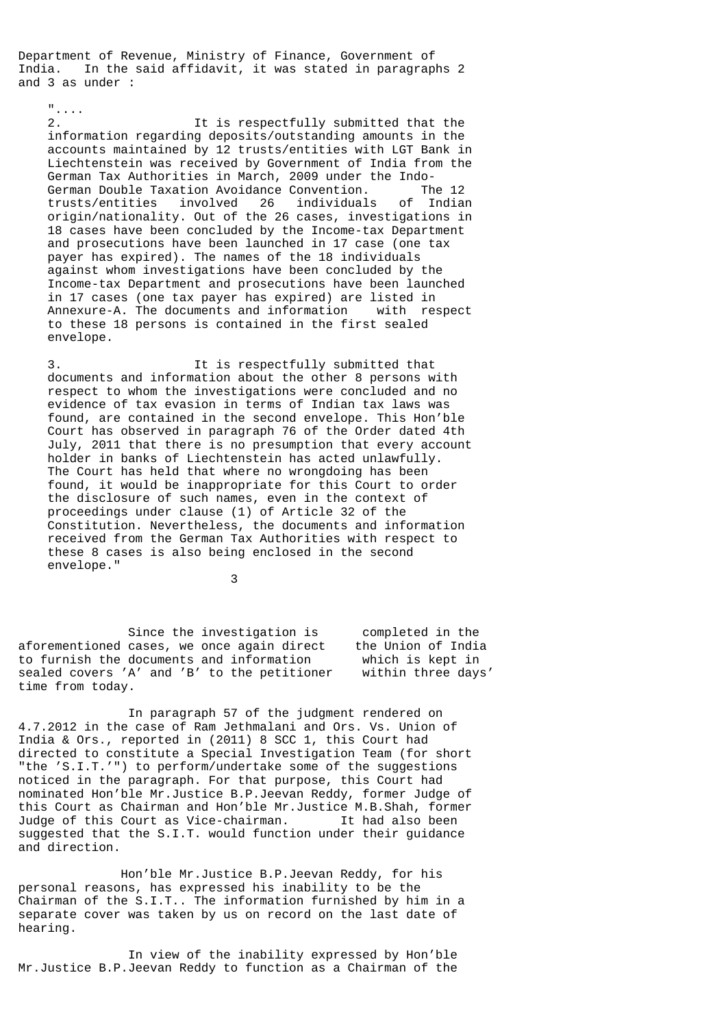Department of Revenue, Ministry of Finance, Government of India. In the said affidavit, it was stated in paragraphs 2 and 3 as under :

"....

 2. It is respectfully submitted that the information regarding deposits/outstanding amounts in the accounts maintained by 12 trusts/entities with LGT Bank in Liechtenstein was received by Government of India from the German Tax Authorities in March, 2009 under the Indo- German Double Taxation Avoidance Convention. The 12 trusts/entities involved 26 individuals of Indian origin/nationality. Out of the 26 cases, investigations in 18 cases have been concluded by the Income-tax Department and prosecutions have been launched in 17 case (one tax payer has expired). The names of the 18 individuals against whom investigations have been concluded by the Income-tax Department and prosecutions have been launched in 17 cases (one tax payer has expired) are listed in Annexure-A. The documents and information with respect to these 18 persons is contained in the first sealed envelope.

 3. It is respectfully submitted that documents and information about the other 8 persons with respect to whom the investigations were concluded and no evidence of tax evasion in terms of Indian tax laws was found, are contained in the second envelope. This Hon'ble Court has observed in paragraph 76 of the Order dated 4th July, 2011 that there is no presumption that every account holder in banks of Liechtenstein has acted unlawfully. The Court has held that where no wrongdoing has been found, it would be inappropriate for this Court to order the disclosure of such names, even in the context of proceedings under clause (1) of Article 32 of the Constitution. Nevertheless, the documents and information received from the German Tax Authorities with respect to these 8 cases is also being enclosed in the second envelope."

3

 Since the investigation is completed in the aforementioned cases, we once again direct the Union of India to furnish the documents and information which is kept in sealed covers 'A' and 'B' to the petitioner within three days' time from today.

 In paragraph 57 of the judgment rendered on 4.7.2012 in the case of Ram Jethmalani and Ors. Vs. Union of India & Ors., reported in (2011) 8 SCC 1, this Court had directed to constitute a Special Investigation Team (for short "the 'S.I.T.'") to perform/undertake some of the suggestions noticed in the paragraph. For that purpose, this Court had nominated Hon'ble Mr.Justice B.P.Jeevan Reddy, former Judge of this Court as Chairman and Hon'ble Mr.Justice M.B.Shah, former Judge of this Court as Vice-chairman. It had also been suggested that the S.I.T. would function under their guidance and direction.

 Hon'ble Mr.Justice B.P.Jeevan Reddy, for his personal reasons, has expressed his inability to be the Chairman of the S.I.T.. The information furnished by him in a separate cover was taken by us on record on the last date of hearing.

 In view of the inability expressed by Hon'ble Mr.Justice B.P.Jeevan Reddy to function as a Chairman of the